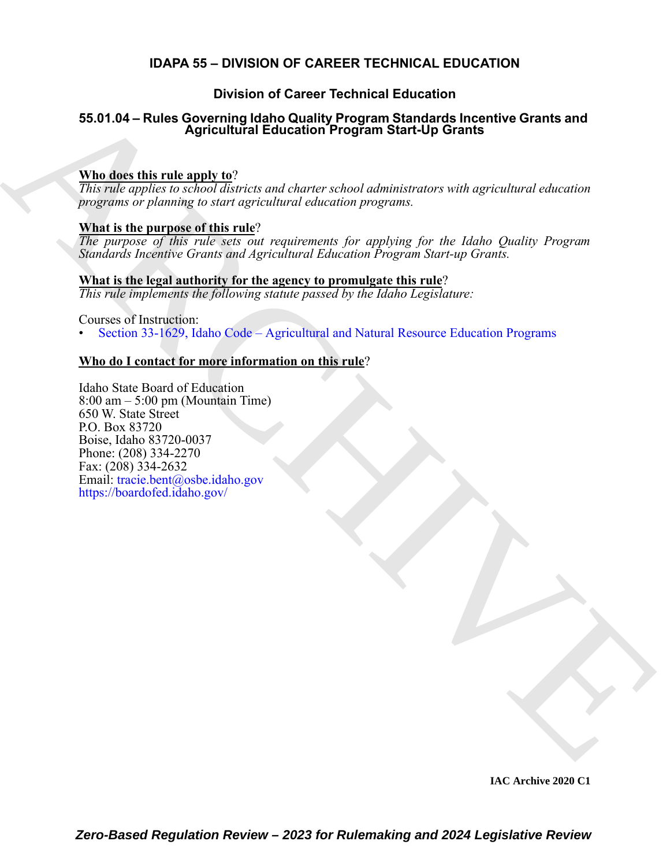# **IDAPA 55 – DIVISION OF CAREER TECHNICAL EDUCATION**

# **Division of Career Technical Education**

# **55.01.04 – Rules Governing Idaho Quality Program Standards Incentive Grants and Agricultural Education Program Start-Up Grants**

### **Who does this rule apply to**?

*This rule applies to school districts and charter school administrators with agricultural education programs or planning to start agricultural education programs.*

# **What is the purpose of this rule**?

*The purpose of this rule sets out requirements for applying for the Idaho Quality Program Standards Incentive Grants and Agricultural Education Program Start-up Grants.*

# **What is the legal authority for the agency to promulgate this rule**?

*This rule implements the following statute passed by the Idaho Legislature:*

Courses of Instruction:

• Section 33-1629, Idaho Code – Agricultural and Natural Resource Education Programs

# **Who do I contact for more information on this rule**?

55.01.04 – Rules Governing Idaho Quality Program Standards Incentive Grants and<br>  $\frac{\text{NIntra}}{\text{One of the line input to }\alpha}$ <br>  $\frac{\text{NIntra}}{\text{One of the line input to }\alpha}$ <br>  $\frac{\text{NIntra}}{\text{One of the line input to }\alpha}$ <br>  $\frac{\text{NIntra}}{\text{One of the line input to }\alpha}$ <br>  $\frac{\text{NIntra}}{\text{One of the line input to }\alpha}$ <br>  $\frac{\text{NIntra}}{\text{One of$ Idaho State Board of Education 8:00 am – 5:00 pm (Mountain Time) 650 W. State Street P.O. Box 83720 Boise, Idaho 83720-0037 Phone: (208) 334-2270 Fax: (208) 334-2632 Email: tracie.bent@osbe.idaho.gov https://boardofed.idaho.gov/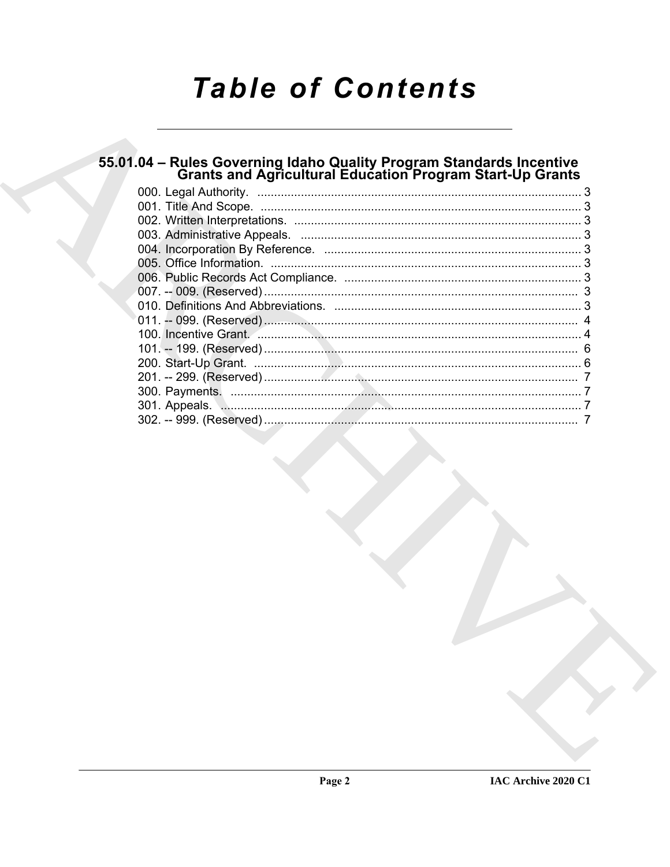# **Table of Contents**

# 55.01.04 – Rules Governing Idaho Quality Program Standards Incentive<br>Grants and Agricultural Education Program Start-Up Grants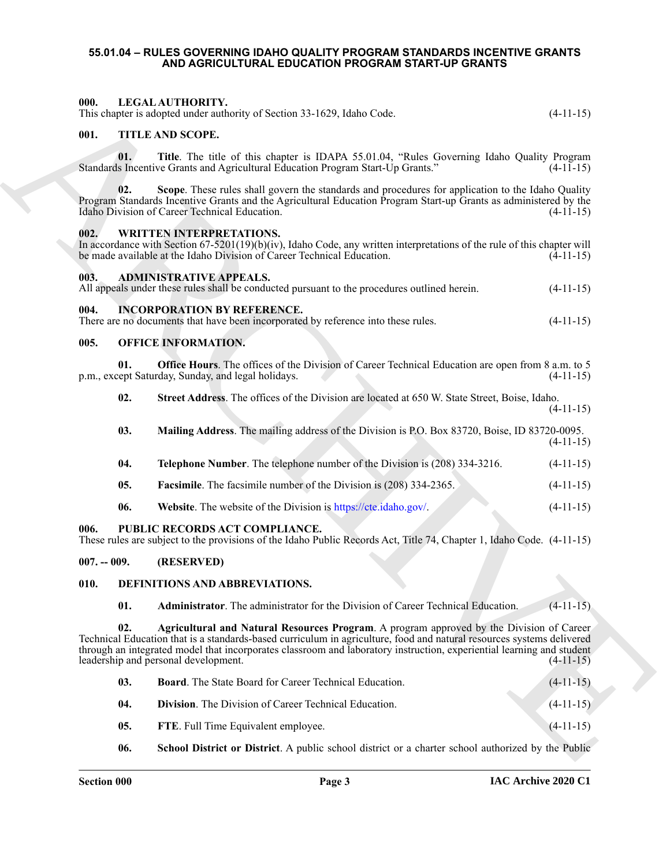#### <span id="page-2-2"></span><span id="page-2-1"></span><span id="page-2-0"></span>**55.01.04 – RULES GOVERNING IDAHO QUALITY PROGRAM STANDARDS INCENTIVE GRANTS AND AGRICULTURAL EDUCATION PROGRAM START-UP GRANTS**

<span id="page-2-9"></span><span id="page-2-8"></span><span id="page-2-7"></span><span id="page-2-6"></span><span id="page-2-5"></span><span id="page-2-4"></span><span id="page-2-3"></span>

| 000.          |     | LEGAL AUTHORITY.<br>This chapter is adopted under authority of Section 33-1629, Idaho Code.                                                                                                                                                                                                                                                                                        | $(4-11-15)$ |
|---------------|-----|------------------------------------------------------------------------------------------------------------------------------------------------------------------------------------------------------------------------------------------------------------------------------------------------------------------------------------------------------------------------------------|-------------|
| 001.          |     | TITLE AND SCOPE.                                                                                                                                                                                                                                                                                                                                                                   |             |
|               | 01. | Title. The title of this chapter is IDAPA 55.01.04, "Rules Governing Idaho Quality Program<br>Standards Incentive Grants and Agricultural Education Program Start-Up Grants."                                                                                                                                                                                                      | $(4-11-15)$ |
|               | 02. | Scope. These rules shall govern the standards and procedures for application to the Idaho Quality<br>Program Standards Incentive Grants and the Agricultural Education Program Start-up Grants as administered by the<br>Idaho Division of Career Technical Education.                                                                                                             | $(4-11-15)$ |
| 002.          |     | WRITTEN INTERPRETATIONS.<br>In accordance with Section $67-5201(19)(b)(iv)$ , Idaho Code, any written interpretations of the rule of this chapter will<br>be made available at the Idaho Division of Career Technical Education.                                                                                                                                                   | $(4-11-15)$ |
| 003.          |     | <b>ADMINISTRATIVE APPEALS.</b><br>All appeals under these rules shall be conducted pursuant to the procedures outlined herein.                                                                                                                                                                                                                                                     | $(4-11-15)$ |
| 004.          |     | <b>INCORPORATION BY REFERENCE.</b><br>There are no documents that have been incorporated by reference into these rules.                                                                                                                                                                                                                                                            | $(4-11-15)$ |
| 005.          |     | <b>OFFICE INFORMATION.</b>                                                                                                                                                                                                                                                                                                                                                         |             |
|               | 01. | <b>Office Hours</b> . The offices of the Division of Career Technical Education are open from 8 a.m. to 5<br>p.m., except Saturday, Sunday, and legal holidays.                                                                                                                                                                                                                    | $(4-11-15)$ |
|               | 02. | Street Address. The offices of the Division are located at 650 W. State Street, Boise, Idaho.                                                                                                                                                                                                                                                                                      | $(4-11-15)$ |
|               | 03. | Mailing Address. The mailing address of the Division is P.O. Box 83720, Boise, ID 83720-0095.                                                                                                                                                                                                                                                                                      | $(4-11-15)$ |
|               | 04. | Telephone Number. The telephone number of the Division is (208) 334-3216.                                                                                                                                                                                                                                                                                                          | $(4-11-15)$ |
|               | 05. | <b>Facsimile.</b> The facsimile number of the Division is (208) 334-2365.                                                                                                                                                                                                                                                                                                          | $(4-11-15)$ |
|               | 06. | Website. The website of the Division is https://cte.idaho.gov/.                                                                                                                                                                                                                                                                                                                    | $(4-11-15)$ |
| 006.          |     | PUBLIC RECORDS ACT COMPLIANCE.<br>These rules are subject to the provisions of the Idaho Public Records Act, Title 74, Chapter 1, Idaho Code. (4-11-15)                                                                                                                                                                                                                            |             |
| $007. - 009.$ |     | (RESERVED)                                                                                                                                                                                                                                                                                                                                                                         |             |
| 010.          |     | DEFINITIONS AND ABBREVIATIONS.                                                                                                                                                                                                                                                                                                                                                     | <b>COLL</b> |
|               | 01. | <b>Administrator.</b> The administrator for the Division of Career Technical Education.                                                                                                                                                                                                                                                                                            | $(4-11-15)$ |
|               | 02. | Agricultural and Natural Resources Program. A program approved by the Division of Career<br>Technical Education that is a standards-based curriculum in agriculture, food and natural resources systems delivered<br>through an integrated model that incorporates classroom and laboratory instruction, experiential learning and student<br>leadership and personal development. | $(4-11-15)$ |
|               | 03. | <b>Board.</b> The State Board for Career Technical Education.                                                                                                                                                                                                                                                                                                                      | $(4-11-15)$ |
|               | 04. | Division. The Division of Career Technical Education.                                                                                                                                                                                                                                                                                                                              | $(4-11-15)$ |
|               | 05. | FTE. Full Time Equivalent employee.                                                                                                                                                                                                                                                                                                                                                | $(4-11-15)$ |
|               | 06. | <b>School District or District.</b> A public school district or a charter school authorized by the Public                                                                                                                                                                                                                                                                          |             |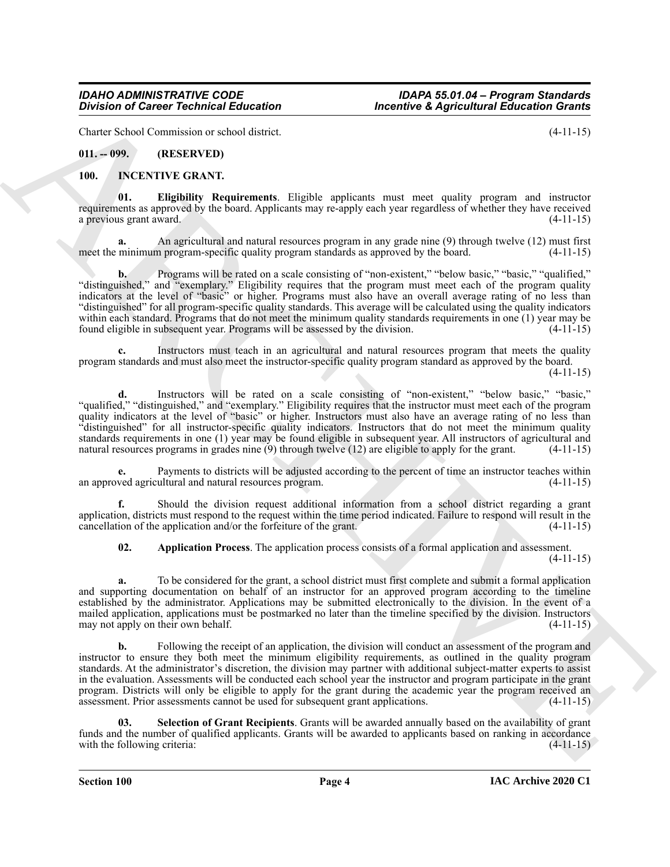Charter School Commission or school district. (4-11-15)

<span id="page-3-0"></span>**011. -- 099. (RESERVED)**

#### <span id="page-3-1"></span>**100. INCENTIVE GRANT.**

**01. Eligibility Requirements**. Eligible applicants must meet quality program and instructor requirements as approved by the board. Applicants may re-apply each year regardless of whether they have received a previous grant award. (4-11-15)

**a.** An agricultural and natural resources program in any grade nine (9) through twelve (12) must first meet the minimum program-specific quality program standards as approved by the board. (4-11-15)

Division of Cancer Yechnical Education<br>
Unit, Solution of Cancer Yechnical Education<br>
(4-11-5)<br>
(10). Cancer Yechnical Solution and Solution and Solution and Solution and Solution and Solution and Solution<br>
(10). English **b.** Programs will be rated on a scale consisting of "non-existent," "below basic," "basic," "qualified," "distinguished," and "exemplary." Eligibility requires that the program must meet each of the program quality indicators at the level of "basic" or higher. Programs must also have an overall average rating of no less than "distinguished" for all program-specific quality standards. This average will be calculated using the quality indicators within each standard. Programs that do not meet the minimum quality standards requirements in one (1) year may be found eligible in subsequent year. Programs will be assessed by the division. (4-11-15)

**c.** Instructors must teach in an agricultural and natural resources program that meets the quality program standards and must also meet the instructor-specific quality program standard as approved by the board.  $(4-11-15)$ 

**d.** Instructors will be rated on a scale consisting of "non-existent," "below basic," "basic," "qualified," "distinguished," and "exemplary." Eligibility requires that the instructor must meet each of the program quality indicators at the level of "basic" or higher. Instructors must also have an average rating of no less than "distinguished" for all instructor-specific quality indicators. Instructors that do not meet the minimum quality standards requirements in one (1) year may be found eligible in subsequent year. All instructors of agricultural and natural resources programs in grades nine (9) through twelve (12) are eligible to apply for the grant. (4-11-15)

Payments to districts will be adjusted according to the percent of time an instructor teaches within an approved agricultural and natural resources program. (4-11-15)

**f.** Should the division request additional information from a school district regarding a grant application, districts must respond to the request within the time period indicated. Failure to respond will result in the cancellation of the application and/or the forfeiture of the grant. (4-11-15)

**02. Application Process**. The application process consists of a formal application and assessment. (4-11-15)

**a.** To be considered for the grant, a school district must first complete and submit a formal application and supporting documentation on behalf of an instructor for an approved program according to the timeline established by the administrator. Applications may be submitted electronically to the division. In the event of a mailed application, applications must be postmarked no later than the timeline specified by the division. Instructors may not apply on their own behalf. (4-11-15) may not apply on their own behalf.

Following the receipt of an application, the division will conduct an assessment of the program and instructor to ensure they both meet the minimum eligibility requirements, as outlined in the quality program standards. At the administrator's discretion, the division may partner with additional subject-matter experts to assist in the evaluation. Assessments will be conducted each school year the instructor and program participate in the grant program. Districts will only be eligible to apply for the grant during the academic year the program received an assessment. Prior assessments cannot be used for subsequent grant applications. (4-11-15)

**03. Selection of Grant Recipients**. Grants will be awarded annually based on the availability of grant funds and the number of qualified applicants. Grants will be awarded to applicants based on ranking in accordance with the following criteria: (4-11-15) (4-11-15)

**Section 100 Page 4**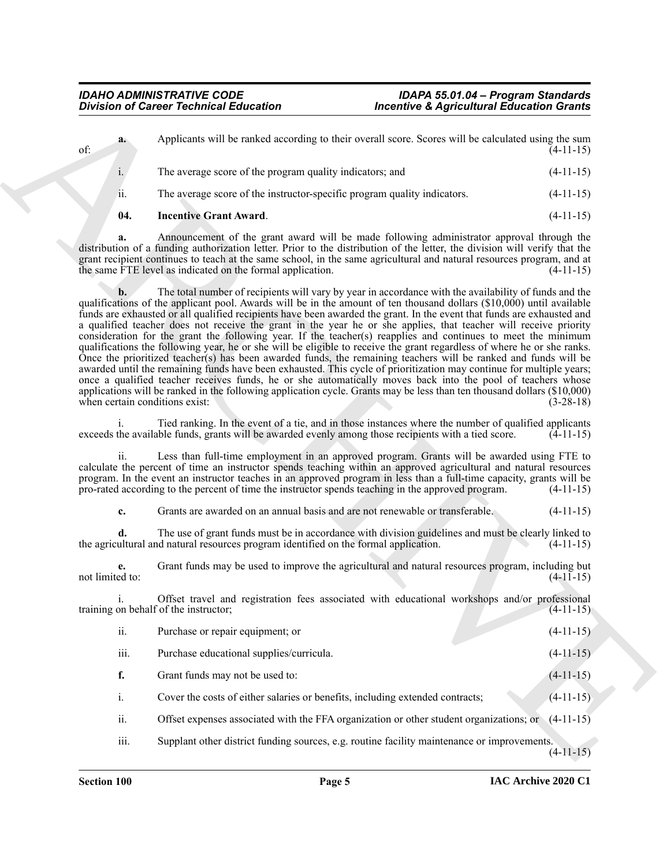|     | 04. | <b>Incentive Grant Award.</b>                                                                       | $(4-11-15)$ |
|-----|-----|-----------------------------------------------------------------------------------------------------|-------------|
|     | ii. | The average score of the instructor-specific program quality indicators.                            | $(4-11-15)$ |
|     | 1.  | The average score of the program quality indicators; and                                            | $(4-11-15)$ |
| of: | a.  | Applicants will be ranked according to their overall score. Scores will be calculated using the sum | $(4-11-15)$ |

**a.** Announcement of the grant award will be made following administrator approval through the distribution of a funding authorization letter. Prior to the distribution of the letter, the division will verify that the grant recipient continues to teach at the same school, in the same agricultural and natural resources program, and at the same FTE level as indicated on the formal application. (4-11-15)

Division of Coince "fechanical Education"<br>
Applicants will be ranked according to their event is consistent as the calculated single gas manner of the present and the present and the coince of the present and the present **b.** The total number of recipients will vary by year in accordance with the availability of funds and the qualifications of the applicant pool. Awards will be in the amount of ten thousand dollars (\$10,000) until available funds are exhausted or all qualified recipients have been awarded the grant. In the event that funds are exhausted and a qualified teacher does not receive the grant in the year he or she applies, that teacher will receive priority consideration for the grant the following year. If the teacher(s) reapplies and continues to meet the minimum qualifications the following year, he or she will be eligible to receive the grant regardless of where he or she ranks. Once the prioritized teacher(s) has been awarded funds, the remaining teachers will be ranked and funds will be awarded until the remaining funds have been exhausted. This cycle of prioritization may continue for multiple years; once a qualified teacher receives funds, he or she automatically moves back into the pool of teachers whose applications will be ranked in the following application cycle. Grants may be less than ten thousand dollars (\$10,000) when certain conditions exist: (3-28-18)

i. Tied ranking. In the event of a tie, and in those instances where the number of qualified applicants exceeds the available funds, grants will be awarded evenly among those recipients with a tied score.  $(4-11-15)$ 

ii. Less than full-time employment in an approved program. Grants will be awarded using FTE to calculate the percent of time an instructor spends teaching within an approved agricultural and natural resources program. In the event an instructor teaches in an approved program in less than a full-time capacity, grants will be pro-rated according to the percent of time the instructor spends teaching in the approved program. (4-11-15)

**c.** Grants are awarded on an annual basis and are not renewable or transferable. (4-11-15)

**d.** The use of grant funds must be in accordance with division guidelines and must be clearly linked to ultural and natural resources program identified on the formal application. (4-11-15) the agricultural and natural resources program identified on the formal application.

**e.** Grant funds may be used to improve the agricultural and natural resources program, including but not limited to:  $(4-11-15)$ 

i. Offset travel and registration fees associated with educational workshops and/or professional training on behalf of the instructor; (4-11-15)

| ii.              | Purchase or repair equipment; or                                                               | $(4-11-15)$ |
|------------------|------------------------------------------------------------------------------------------------|-------------|
| $\cdots$<br>111. | Purchase educational supplies/curricula.                                                       | $(4-11-15)$ |
| f.               | Grant funds may not be used to:                                                                | $(4-11-15)$ |
| i.               | Cover the costs of either salaries or benefits, including extended contracts;                  | $(4-11-15)$ |
| ii.              | Offset expenses associated with the FFA organization or other student organizations; or        | $(4-11-15)$ |
| $\cdots$<br>111  | Supply other district funding sources $\alpha$ a routing facility mointainance or improvements |             |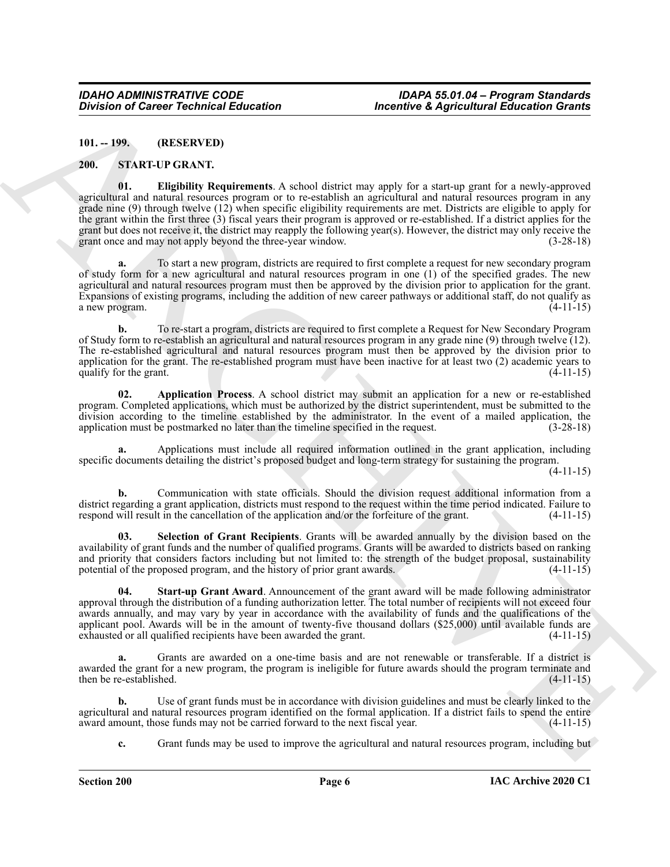<span id="page-5-0"></span>**101. -- 199. (RESERVED)**

#### <span id="page-5-1"></span>**200. START-UP GRANT.**

Division of Carter Yechnical Education<br>
Hereities Adoptical Subsection distants<br>
(H) 1982. The CHIVES CONSUL SUBSECTION CONTINUES IN the control of the control of the subsection of the subsection<br>
2001. The CHIVES Propert **01. Eligibility Requirements**. A school district may apply for a start-up grant for a newly-approved agricultural and natural resources program or to re-establish an agricultural and natural resources program in any grade nine (9) through twelve (12) when specific eligibility requirements are met. Districts are eligible to apply for the grant within the first three (3) fiscal years their program is approved or re-established. If a district applies for the grant but does not receive it, the district may reapply the following year(s). However, the district may only receive the grant once and may not apply beyond the three-year window. (3-28-18)

**a.** To start a new program, districts are required to first complete a request for new secondary program of study form for a new agricultural and natural resources program in one (1) of the specified grades. The new agricultural and natural resources program must then be approved by the division prior to application for the grant. Expansions of existing programs, including the addition of new career pathways or additional staff, do not qualify as a new program.  $(4-11-15)$ a new program.

**b.** To re-start a program, districts are required to first complete a Request for New Secondary Program of Study form to re-establish an agricultural and natural resources program in any grade nine (9) through twelve (12). The re-established agricultural and natural resources program must then be approved by the division prior to application for the grant. The re-established program must have been inactive for at least two (2) academic years to qualify for the grant.  $(4-11-15)$ qualify for the grant.

**02. Application Process**. A school district may submit an application for a new or re-established program. Completed applications, which must be authorized by the district superintendent, must be submitted to the division according to the timeline established by the administrator. In the event of a mailed application, the application must be postmarked no later than the timeline specified in the request.  $(3-28-18)$ application must be postmarked no later than the timeline specified in the request.

**a.** Applications must include all required information outlined in the grant application, including specific documents detailing the district's proposed budget and long-term strategy for sustaining the program.

(4-11-15)

**b.** Communication with state officials. Should the division request additional information from a district regarding a grant application, districts must respond to the request within the time period indicated. Failure to respond will result in the cancellation of the application and/or the forfeiture of the grant. (4-11-15)

**03. Selection of Grant Recipients**. Grants will be awarded annually by the division based on the availability of grant funds and the number of qualified programs. Grants will be awarded to districts based on ranking and priority that considers factors including but not limited to: the strength of the budget proposal, sustainability potential of the proposed program, and the history of prior grant awards.  $(4-11-15)$ 

**04. Start-up Grant Award**. Announcement of the grant award will be made following administrator approval through the distribution of a funding authorization letter. The total number of recipients will not exceed four awards annually, and may vary by year in accordance with the availability of funds and the qualifications of the applicant pool. Awards will be in the amount of twenty-five thousand dollars (\$25,000) until available funds are exhausted or all qualified recipients have been awarded the grant. (4-11-15)

**a.** Grants are awarded on a one-time basis and are not renewable or transferable. If a district is awarded the grant for a new program, the program is ineligible for future awards should the program terminate and then be re-established. (4-11-15)

**b.** Use of grant funds must be in accordance with division guidelines and must be clearly linked to the agricultural and natural resources program identified on the formal application. If a district fails to spend the entire award amount, those funds may not be carried forward to the next fiscal year. (4-11-15) award amount, those funds may not be carried forward to the next fiscal year.

**c.** Grant funds may be used to improve the agricultural and natural resources program, including but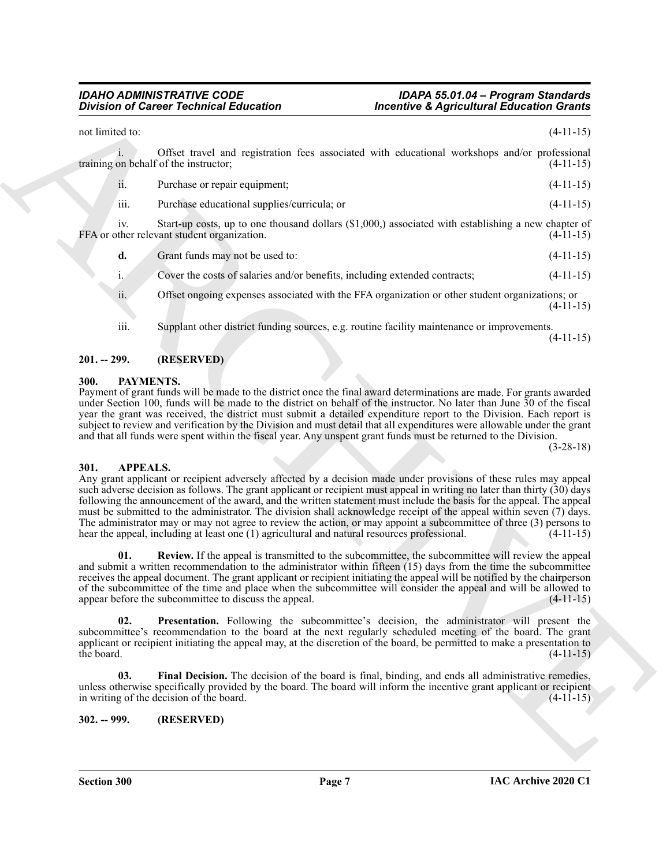Division of Concer Technical Education<br>
2013 and the state of the state and registeration for the state and the state and the state of the state of the state of the state of the state of the state of the state of the stat not limited to:  $(4-11-15)$ i. Offset travel and registration fees associated with educational workshops and/or professional training on behalf of the instructor; (4-11-15) ii. Purchase or repair equipment; (4-11-15) iii. Purchase educational supplies/curricula; or (4-11-15) iv. Start-up costs, up to one thousand dollars (\$1,000,) associated with establishing a new chapter of FFA or other relevant student organization. **d.** Grant funds may not be used to: (4-11-15) i. Cover the costs of salaries and/or benefits, including extended contracts; (4-11-15) ii. Offset ongoing expenses associated with the FFA organization or other student organizations; or  $(4-11-15)$ iii. Supplant other district funding sources, e.g. routine facility maintenance or improvements. (4-11-15)

#### <span id="page-6-0"></span>**201. -- 299. (RESERVED)**

#### <span id="page-6-1"></span>**300. PAYMENTS.**

Payment of grant funds will be made to the district once the final award determinations are made. For grants awarded under Section 100, funds will be made to the district on behalf of the instructor. No later than June 30 of the fiscal year the grant was received, the district must submit a detailed expenditure report to the Division. Each report is subject to review and verification by the Division and must detail that all expenditures were allowable under the grant and that all funds were spent within the fiscal year. Any unspent grant funds must be returned to the Division.

(3-28-18)

#### <span id="page-6-2"></span>**301. APPEALS.**

Any grant applicant or recipient adversely affected by a decision made under provisions of these rules may appeal such adverse decision as follows. The grant applicant or recipient must appeal in writing no later than thirty (30) days following the announcement of the award, and the written statement must include the basis for the appeal. The appeal must be submitted to the administrator. The division shall acknowledge receipt of the appeal within seven (7) days. The administrator may or may not agree to review the action, or may appoint a subcommittee of three (3) persons to hear the appeal, including at least one (1) agricultural and natural resources professional. (4-11-15)

**01. Review.** If the appeal is transmitted to the subcommittee, the subcommittee will review the appeal and submit a written recommendation to the administrator within fifteen (15) days from the time the subcommittee receives the appeal document. The grant applicant or recipient initiating the appeal will be notified by the chairperson of the subcommittee of the time and place when the subcommittee will consider the appeal and will be allowed to appear before the subcommittee to discuss the appeal. (4-11-15)

**Presentation.** Following the subcommittee's decision, the administrator will present the subcommittee's recommendation to the board at the next regularly scheduled meeting of the board. The grant applicant or recipient initiating the appeal may, at the discretion of the board, be permitted to make a presentation to the board. (4-11-15) the board.  $(4-11-15)$ 

**03.** Final Decision. The decision of the board is final, binding, and ends all administrative remedies, unless otherwise specifically provided by the board. The board will inform the incentive grant applicant or recipient in writing of the decision of the board. in writing of the decision of the board.

#### <span id="page-6-3"></span>**302. -- 999. (RESERVED)**